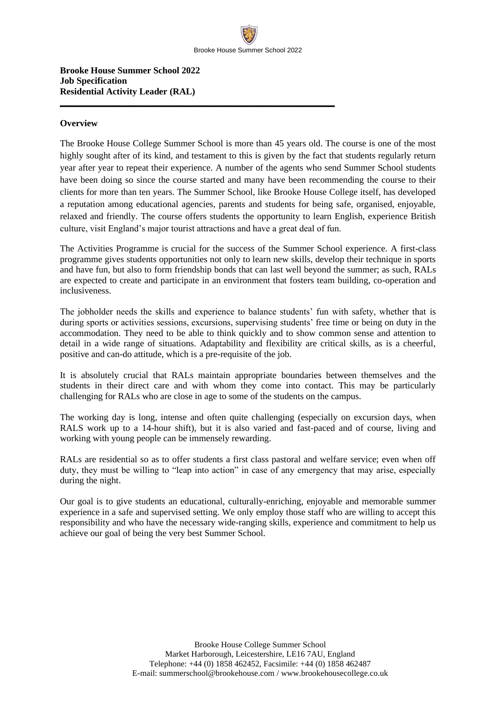**\_\_\_\_\_\_\_\_\_\_\_\_\_\_\_\_\_\_\_\_\_\_\_\_\_\_\_\_\_\_\_\_\_\_\_\_\_\_\_\_\_\_\_\_\_\_\_\_\_\_\_\_\_\_\_\_\_\_\_\_**

**Brooke House Summer School 2022 Job Specification Residential Activity Leader (RAL)**

## **Overview**

The Brooke House College Summer School is more than 45 years old. The course is one of the most highly sought after of its kind, and testament to this is given by the fact that students regularly return year after year to repeat their experience. A number of the agents who send Summer School students have been doing so since the course started and many have been recommending the course to their clients for more than ten years. The Summer School, like Brooke House College itself, has developed a reputation among educational agencies, parents and students for being safe, organised, enjoyable, relaxed and friendly. The course offers students the opportunity to learn English, experience British culture, visit England's major tourist attractions and have a great deal of fun.

The Activities Programme is crucial for the success of the Summer School experience. A first-class programme gives students opportunities not only to learn new skills, develop their technique in sports and have fun, but also to form friendship bonds that can last well beyond the summer; as such, RALs are expected to create and participate in an environment that fosters team building, co-operation and inclusiveness.

The jobholder needs the skills and experience to balance students' fun with safety, whether that is during sports or activities sessions, excursions, supervising students' free time or being on duty in the accommodation. They need to be able to think quickly and to show common sense and attention to detail in a wide range of situations. Adaptability and flexibility are critical skills, as is a cheerful, positive and can-do attitude, which is a pre-requisite of the job.

It is absolutely crucial that RALs maintain appropriate boundaries between themselves and the students in their direct care and with whom they come into contact. This may be particularly challenging for RALs who are close in age to some of the students on the campus.

The working day is long, intense and often quite challenging (especially on excursion days, when RALS work up to a 14-hour shift), but it is also varied and fast-paced and of course, living and working with young people can be immensely rewarding.

RALs are residential so as to offer students a first class pastoral and welfare service; even when off duty, they must be willing to "leap into action" in case of any emergency that may arise, especially during the night.

Our goal is to give students an educational, culturally-enriching, enjoyable and memorable summer experience in a safe and supervised setting. We only employ those staff who are willing to accept this responsibility and who have the necessary wide-ranging skills, experience and commitment to help us achieve our goal of being the very best Summer School.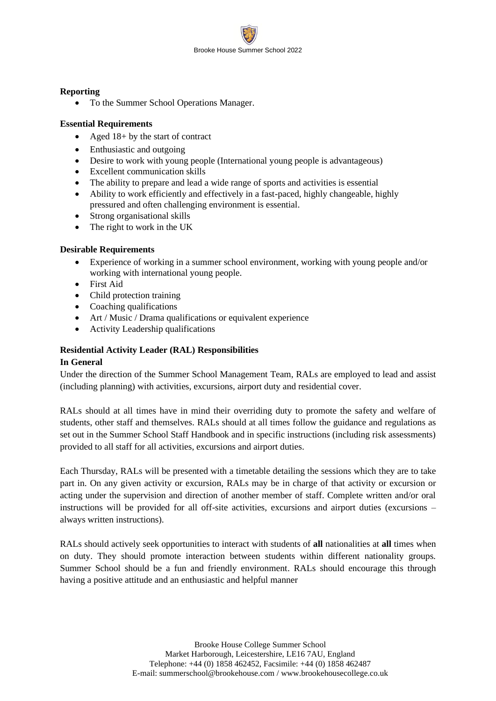

# **Reporting**

• To the Summer School Operations Manager.

# **Essential Requirements**

- Aged 18+ by the start of contract
- Enthusiastic and outgoing
- Desire to work with young people (International young people is advantageous)
- Excellent communication skills
- The ability to prepare and lead a wide range of sports and activities is essential
- Ability to work efficiently and effectively in a fast-paced, highly changeable, highly pressured and often challenging environment is essential.
- Strong organisational skills
- The right to work in the UK

# **Desirable Requirements**

- Experience of working in a summer school environment, working with young people and/or working with international young people.
- First Aid
- Child protection training
- Coaching qualifications
- Art / Music / Drama qualifications or equivalent experience
- Activity Leadership qualifications

# **Residential Activity Leader (RAL) Responsibilities**

### **In General**

Under the direction of the Summer School Management Team, RALs are employed to lead and assist (including planning) with activities, excursions, airport duty and residential cover.

RALs should at all times have in mind their overriding duty to promote the safety and welfare of students, other staff and themselves. RALs should at all times follow the guidance and regulations as set out in the Summer School Staff Handbook and in specific instructions (including risk assessments) provided to all staff for all activities, excursions and airport duties.

Each Thursday, RALs will be presented with a timetable detailing the sessions which they are to take part in. On any given activity or excursion, RALs may be in charge of that activity or excursion or acting under the supervision and direction of another member of staff. Complete written and/or oral instructions will be provided for all off-site activities, excursions and airport duties (excursions – always written instructions).

RALs should actively seek opportunities to interact with students of **all** nationalities at **all** times when on duty. They should promote interaction between students within different nationality groups. Summer School should be a fun and friendly environment. RALs should encourage this through having a positive attitude and an enthusiastic and helpful manner